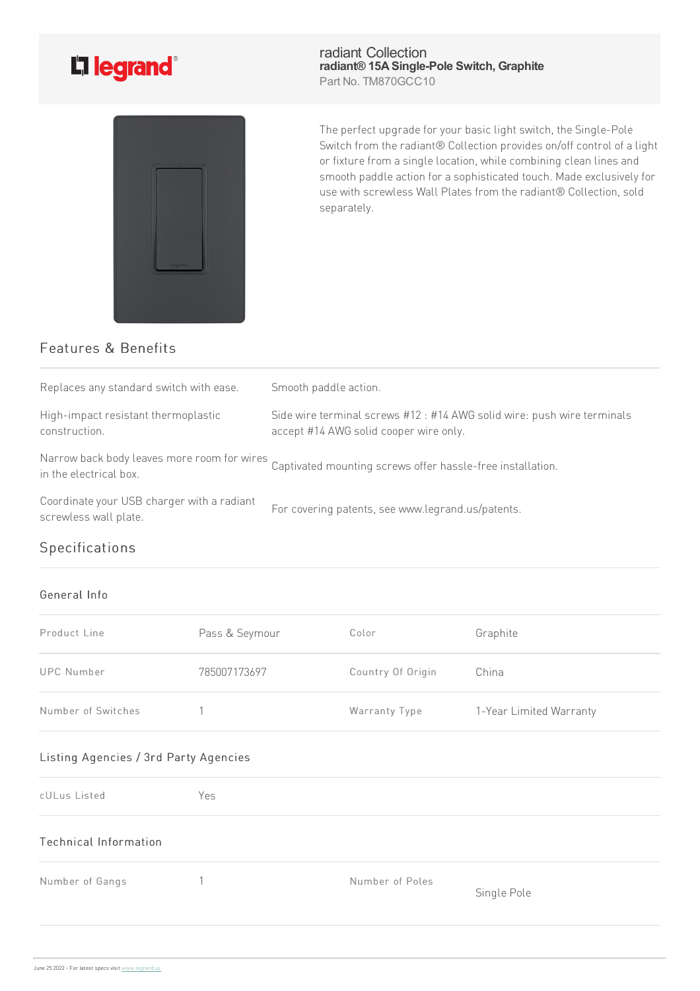# L'i legrand<sup>®</sup>



radiant Collection **radiant® 15ASingle-Pole Switch, Graphite** Part No. TM870GCC10

The perfect upgrade for your basic light switch, the Single-Pole Switch from the radiant® Collection provides on/off control of a light or fixture from a single location, while combining clean lines and smooth paddle action for a sophisticated touch. Made exclusively for use with screwless Wall Plates from the radiant® Collection, sold separately.

### Features & Benefits

| Replaces any standard switch with ease.                               | Smooth paddle action.                                                                                             |
|-----------------------------------------------------------------------|-------------------------------------------------------------------------------------------------------------------|
| High-impact resistant thermoplastic<br>construction.                  | Side wire terminal screws #12 : #14 AWG solid wire: push wire terminals<br>accept #14 AWG solid cooper wire only. |
| Narrow back body leaves more room for wires<br>in the electrical box. | Captivated mounting screws offer hassle-free installation.                                                        |
| Coordinate your USB charger with a radiant<br>screwless wall plate.   | For covering patents, see www.legrand.us/patents.                                                                 |

#### Specifications

#### General Info

| Product Line       | Pass & Seymour | Color             | Graphite                |
|--------------------|----------------|-------------------|-------------------------|
| <b>UPC Number</b>  | 785007173697   | Country Of Origin | China                   |
| Number of Switches |                | Warranty Type     | 1-Year Limited Warranty |

## Listing Agencies / 3rd Party Agencies

| cULus Listed          | Yes |                 |             |
|-----------------------|-----|-----------------|-------------|
| Technical Information |     |                 |             |
| Number of Gangs       |     | Number of Poles | Single Pole |
|                       |     |                 |             |